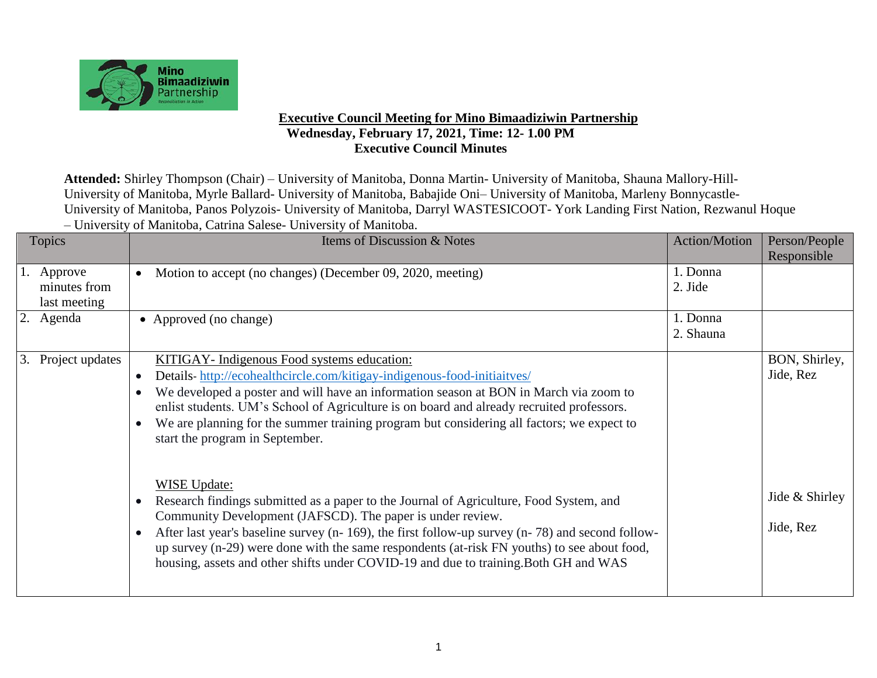

## **Executive Council Meeting for Mino Bimaadiziwin Partnership Wednesday, February 17, 2021, Time: 12- 1.00 PM Executive Council Minutes**

**Attended:** Shirley Thompson (Chair) – University of Manitoba, Donna Martin- University of Manitoba, Shauna Mallory-Hill-University of Manitoba, Myrle Ballard- University of Manitoba, Babajide Oni– University of Manitoba, Marleny Bonnycastle-University of Manitoba, Panos Polyzois- University of Manitoba, Darryl WASTESICOOT- York Landing First Nation, Rezwanul Hoque – University of Manitoba, Catrina Salese- University of Manitoba.

| <b>Topics</b>         | Items of Discussion & Notes                                                                       | <b>Action/Motion</b> | Person/People  |
|-----------------------|---------------------------------------------------------------------------------------------------|----------------------|----------------|
|                       |                                                                                                   |                      | Responsible    |
| 1. Approve            | Motion to accept (no changes) (December 09, 2020, meeting)<br>$\bullet$                           | 1. Donna             |                |
| minutes from          |                                                                                                   | 2. Jide              |                |
| last meeting          |                                                                                                   |                      |                |
| 2. Agenda             | • Approved (no change)                                                                            | 1. Donna             |                |
|                       |                                                                                                   | 2. Shauna            |                |
| Project updates<br>3. | KITIGAY- Indigenous Food systems education:                                                       |                      | BON, Shirley,  |
|                       | Details-http://ecohealthcircle.com/kitigay-indigenous-food-initiaityes/                           |                      | Jide, Rez      |
|                       | We developed a poster and will have an information season at BON in March via zoom to             |                      |                |
|                       | enlist students. UM's School of Agriculture is on board and already recruited professors.         |                      |                |
|                       | We are planning for the summer training program but considering all factors; we expect to         |                      |                |
|                       | start the program in September.                                                                   |                      |                |
|                       |                                                                                                   |                      |                |
|                       | <b>WISE</b> Update:                                                                               |                      |                |
|                       | Research findings submitted as a paper to the Journal of Agriculture, Food System, and            |                      | Jide & Shirley |
|                       | Community Development (JAFSCD). The paper is under review.                                        |                      |                |
|                       | After last year's baseline survey (n- 169), the first follow-up survey (n- 78) and second follow- |                      | Jide, Rez      |
|                       | up survey (n-29) were done with the same respondents (at-risk FN youths) to see about food,       |                      |                |
|                       | housing, assets and other shifts under COVID-19 and due to training. Both GH and WAS              |                      |                |
|                       |                                                                                                   |                      |                |
|                       |                                                                                                   |                      |                |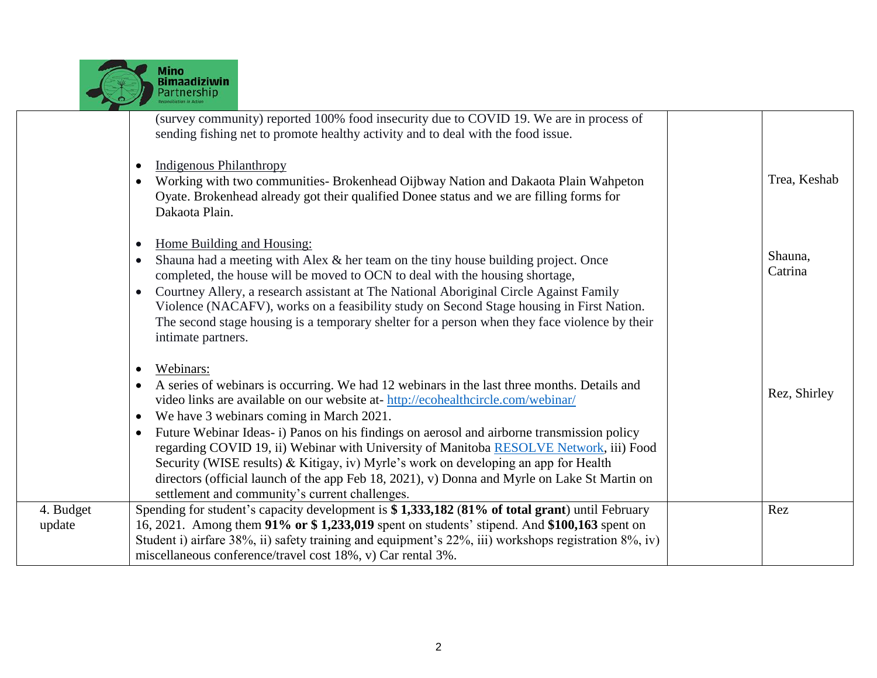

4. Budget update

| (survey community) reported 100% food insecurity due to COVID 19. We are in process of<br>sending fishing net to promote healthy activity and to deal with the food issue.<br><b>Indigenous Philanthropy</b><br>٠<br>Working with two communities- Brokenhead Oijbway Nation and Dakaota Plain Wahpeton<br>Oyate. Brokenhead already got their qualified Donee status and we are filling forms for<br>Dakaota Plain.                                                                                                                                                                                                                                                                                                | Trea, Keshab       |
|---------------------------------------------------------------------------------------------------------------------------------------------------------------------------------------------------------------------------------------------------------------------------------------------------------------------------------------------------------------------------------------------------------------------------------------------------------------------------------------------------------------------------------------------------------------------------------------------------------------------------------------------------------------------------------------------------------------------|--------------------|
| Home Building and Housing:<br>$\bullet$<br>Shauna had a meeting with Alex $\&$ her team on the tiny house building project. Once<br>$\bullet$<br>completed, the house will be moved to OCN to deal with the housing shortage,<br>Courtney Allery, a research assistant at The National Aboriginal Circle Against Family<br>$\bullet$<br>Violence (NACAFV), works on a feasibility study on Second Stage housing in First Nation.<br>The second stage housing is a temporary shelter for a person when they face violence by their<br>intimate partners.                                                                                                                                                             | Shauna,<br>Catrina |
| Webinars:<br>$\bullet$<br>A series of webinars is occurring. We had 12 webinars in the last three months. Details and<br>$\bullet$<br>video links are available on our website at-http://ecohealthcircle.com/webinar/<br>We have 3 webinars coming in March 2021.<br>٠<br>Future Webinar Ideas-i) Panos on his findings on aerosol and airborne transmission policy<br>$\bullet$<br>regarding COVID 19, ii) Webinar with University of Manitoba RESOLVE Network, iii) Food<br>Security (WISE results) & Kitigay, iv) Myrle's work on developing an app for Health<br>directors (official launch of the app Feb 18, 2021), v) Donna and Myrle on Lake St Martin on<br>settlement and community's current challenges. | Rez, Shirley       |
| Spending for student's capacity development is \$1,333,182 (81% of total grant) until February<br>16, 2021. Among them 91% or \$1,233,019 spent on students' stipend. And \$100,163 spent on<br>Student i) airfare 38%, ii) safety training and equipment's 22%, iii) workshops registration 8%, iv)<br>miscellaneous conference/travel cost 18%, v) Car rental 3%.                                                                                                                                                                                                                                                                                                                                                 | Rez                |